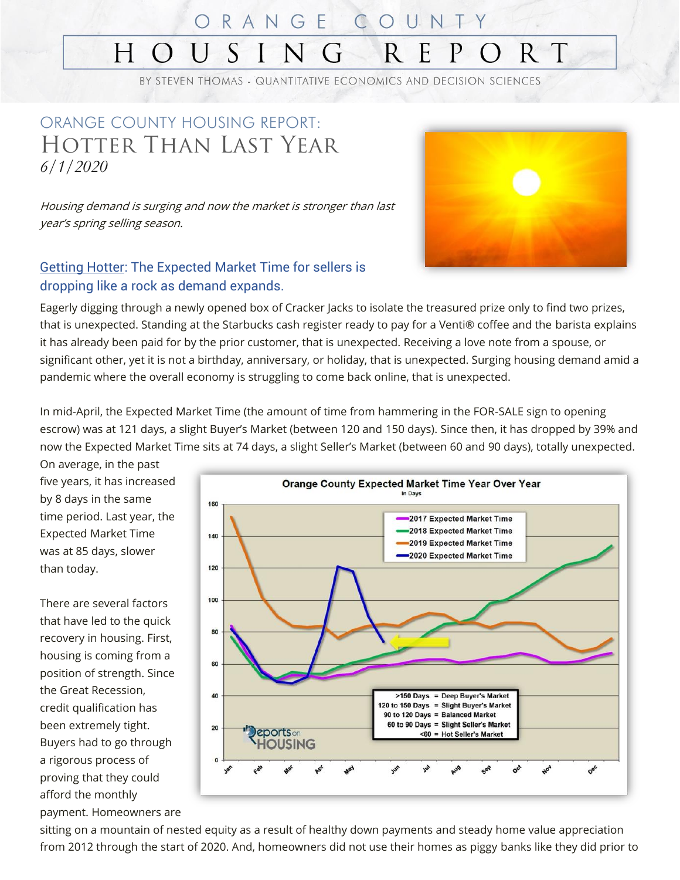#### $\mathbb{C}$ ORANGE OUNTY N S R  $H^-$ E R T  $\left( \right)$

BY STEVEN THOMAS - QUANTITATIVE ECONOMICS AND DECISION SCIENCES

### ORANGE COUNTY HOUSING REPORT: Hotter Than Last Year *6/1/2020*

Housing demand is surging and now the market is stronger than last year's spring selling season.

#### Getting Hotter: The Expected Market Time for sellers is dropping like a rock as demand expands.

Eagerly digging through a newly opened box of Cracker Jacks to isolate the treasured prize only to find two prizes, that is unexpected. Standing at the Starbucks cash register ready to pay for a Venti® coffee and the barista explains it has already been paid for by the prior customer, that is unexpected. Receiving a love note from a spouse, or significant other, yet it is not a birthday, anniversary, or holiday, that is unexpected. Surging housing demand amid a pandemic where the overall economy is struggling to come back online, that is unexpected.

In mid-April, the Expected Market Time (the amount of time from hammering in the FOR-SALE sign to opening escrow) was at 121 days, a slight Buyer's Market (between 120 and 150 days). Since then, it has dropped by 39% and now the Expected Market Time sits at 74 days, a slight Seller's Market (between 60 and 90 days), totally unexpected.

On average, in the past five years, it has increased by 8 days in the same time period. Last year, the Expected Market Time was at 85 days, slower than today.

There are several factors that have led to the quick recovery in housing. First, housing is coming from a position of strength. Since the Great Recession, credit qualification has been extremely tight. Buyers had to go through a rigorous process of proving that they could afford the monthly payment. Homeowners are



sitting on a mountain of nested equity as a result of healthy down payments and steady home value appreciation from 2012 through the start of 2020. And, homeowners did not use their homes as piggy banks like they did prior to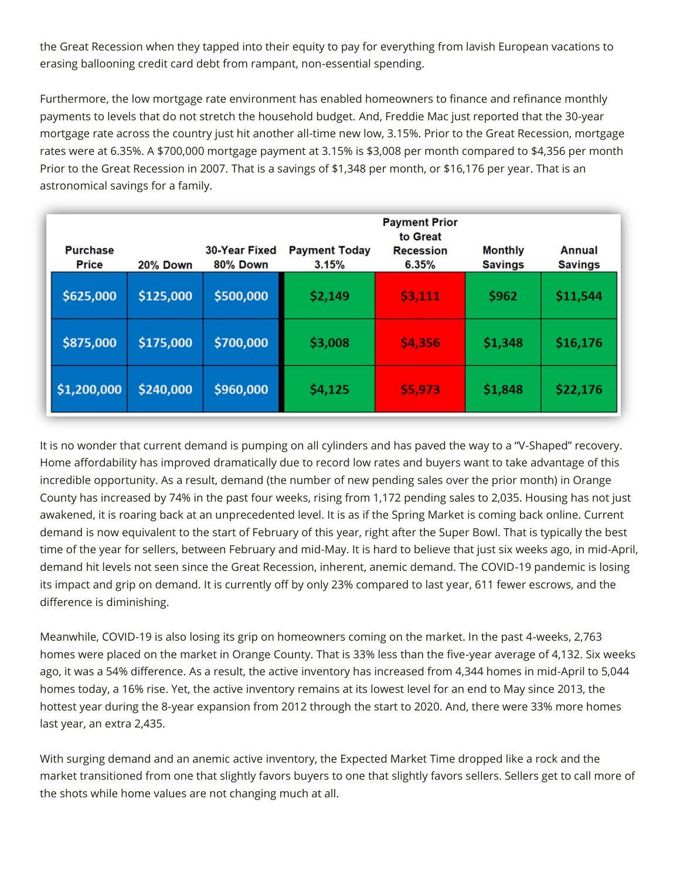the Great Recession when they tapped into their equity to pay for everything from lavish European vacations to erasing ballooning credit card debt from rampant, non-essential spending.

Furthermore, the low mortgage rate environment has enabled homeowners to finance and refinance monthly payments to levels that do not stretch the household budget. And, Freddie Mac just reported that the 30-year mortgage rate across the country just hit another all-time new low, 3.15%. Prior to the Great Recession, mortgage rates were at 6.35%. A \$700,000 mortgage payment at 3.15% is \$3,008 per month compared to \$4,356 per month Prior to the Great Recession in 2007. That is a savings of \$1,348 per month, or \$16,176 per year. That is an astronomical savings for a family.

| <b>Purchase</b> |           | 30-Year Fixed | <b>Payment Today</b> | <b>Payment Prior</b><br>to Great<br><b>Recession</b> | <b>Monthly</b> | Annual         |
|-----------------|-----------|---------------|----------------------|------------------------------------------------------|----------------|----------------|
| <b>Price</b>    | 20% Down  | 80% Down      | 3.15%                | 6.35%                                                | <b>Savings</b> | <b>Savings</b> |
| \$625,000       | \$125,000 | \$500,000     | \$2,149              | \$3,111                                              | \$962          | \$11,544       |
| \$875,000       | \$175,000 | \$700,000     | \$3,008              | \$4,356                                              | \$1,348        | \$16,176       |
| \$1,200,000     | \$240,000 | \$960,000     | \$4,125              | \$5,973                                              | \$1,848        | \$22,176       |

It is no wonder that current demand is pumping on all cylinders and has paved the way to a "V-Shaped" recovery. Home affordability has improved dramatically due to record low rates and buyers want to take advantage of this incredible opportunity. As a result, demand (the number of new pending sales over the prior month) in Orange County has increased by 74% in the past four weeks, rising from 1,172 pending sales to 2,035. Housing has not just awakened, it is roaring back at an unprecedented level. It is as if the Spring Market is coming back online. Current demand is now equivalent to the start of February of this year, right after the Super Bowl. That is typically the best time of the year for sellers, between February and mid-May. It is hard to believe that just six weeks ago, in mid-April, demand hit levels not seen since the Great Recession, inherent, anemic demand. The COVID-19 pandemic is losing its impact and grip on demand. It is currently off by only 23% compared to last year, 611 fewer escrows, and the difference is diminishing.

Meanwhile, COVID-19 is also losing its grip on homeowners coming on the market. In the past 4-weeks, 2,763 homes were placed on the market in Orange County. That is 33% less than the five-year average of 4,132. Six weeks ago, it was a 54% difference. As a result, the active inventory has increased from 4,344 homes in mid-April to 5,044 homes today, a 16% rise. Yet, the active inventory remains at its lowest level for an end to May since 2013, the hottest year during the 8-year expansion from 2012 through the start to 2020. And, there were 33% more homes last year, an extra 2,435.

With surging demand and an anemic active inventory, the Expected Market Time dropped like a rock and the market transitioned from one that slightly favors buyers to one that slightly favors sellers. Sellers get to call more of the shots while home values are not changing much at all.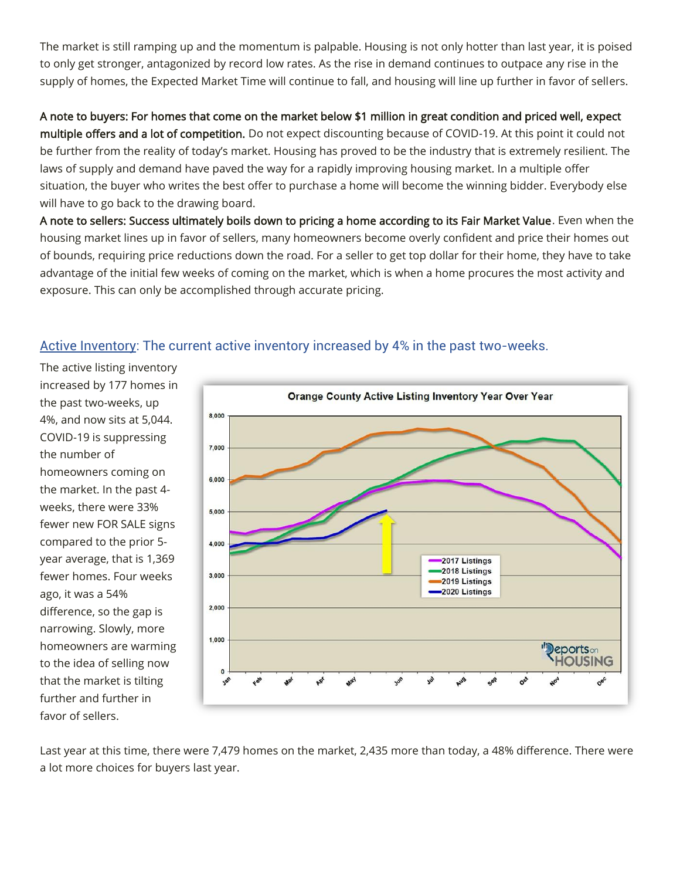The market is still ramping up and the momentum is palpable. Housing is not only hotter than last year, it is poised to only get stronger, antagonized by record low rates. As the rise in demand continues to outpace any rise in the supply of homes, the Expected Market Time will continue to fall, and housing will line up further in favor of sellers.

A note to buyers: For homes that come on the market below \$1 million in great condition and priced well, expect multiple offers and a lot of competition. Do not expect discounting because of COVID-19. At this point it could not be further from the reality of today's market. Housing has proved to be the industry that is extremely resilient. The laws of supply and demand have paved the way for a rapidly improving housing market. In a multiple offer situation, the buyer who writes the best offer to purchase a home will become the winning bidder. Everybody else will have to go back to the drawing board.

A note to sellers: Success ultimately boils down to pricing a home according to its Fair Market Value. Even when the housing market lines up in favor of sellers, many homeowners become overly confident and price their homes out of bounds, requiring price reductions down the road. For a seller to get top dollar for their home, they have to take advantage of the initial few weeks of coming on the market, which is when a home procures the most activity and exposure. This can only be accomplished through accurate pricing.

#### Active Inventory: The current active inventory increased by 4% in the past two-weeks.

The active listing inventory increased by 177 homes in the past two-weeks, up 4%, and now sits at 5,044. COVID-19 is suppressing the number of homeowners coming on the market. In the past 4 weeks, there were 33% fewer new FOR SALE signs compared to the prior 5 year average, that is 1,369 fewer homes. Four weeks ago, it was a 54% difference, so the gap is narrowing. Slowly, more homeowners are warming to the idea of selling now that the market is tilting further and further in favor of sellers.



Last year at this time, there were 7,479 homes on the market, 2,435 more than today, a 48% difference. There were a lot more choices for buyers last year.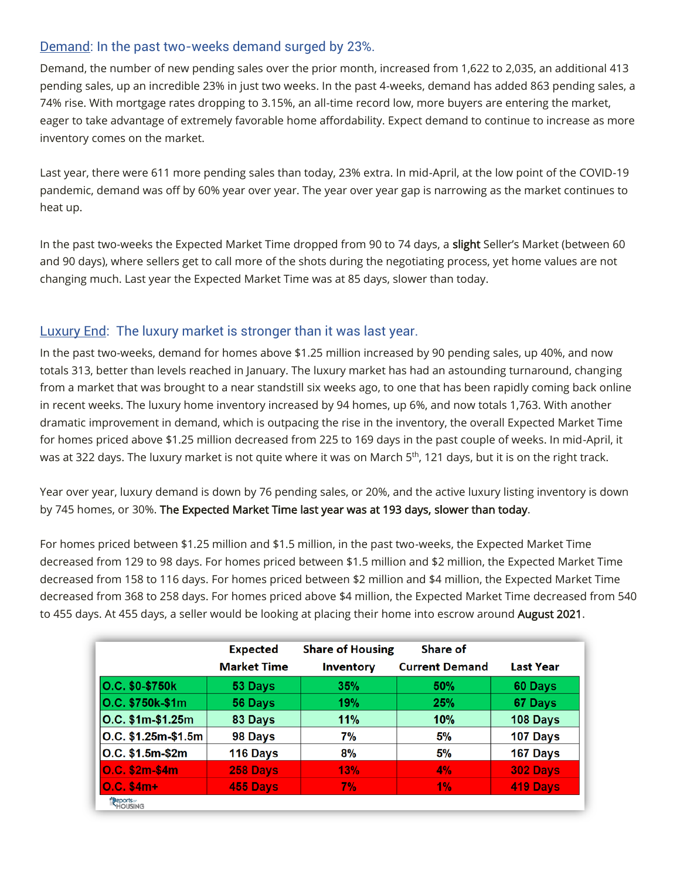#### Demand: In the past two-weeks demand surged by 23%.

Demand, the number of new pending sales over the prior month, increased from 1,622 to 2,035, an additional 413 pending sales, up an incredible 23% in just two weeks. In the past 4-weeks, demand has added 863 pending sales, a 74% rise. With mortgage rates dropping to 3.15%, an all-time record low, more buyers are entering the market, eager to take advantage of extremely favorable home affordability. Expect demand to continue to increase as more inventory comes on the market.

Last year, there were 611 more pending sales than today, 23% extra. In mid-April, at the low point of the COVID-19 pandemic, demand was off by 60% year over year. The year over year gap is narrowing as the market continues to heat up.

In the past two-weeks the Expected Market Time dropped from 90 to 74 days, a slight Seller's Market (between 60 and 90 days), where sellers get to call more of the shots during the negotiating process, yet home values are not changing much. Last year the Expected Market Time was at 85 days, slower than today.

#### Luxury End: The luxury market is stronger than it was last year.

In the past two-weeks, demand for homes above \$1.25 million increased by 90 pending sales, up 40%, and now totals 313, better than levels reached in January. The luxury market has had an astounding turnaround, changing from a market that was brought to a near standstill six weeks ago, to one that has been rapidly coming back online in recent weeks. The luxury home inventory increased by 94 homes, up 6%, and now totals 1,763. With another dramatic improvement in demand, which is outpacing the rise in the inventory, the overall Expected Market Time for homes priced above \$1.25 million decreased from 225 to 169 days in the past couple of weeks. In mid-April, it was at 322 days. The luxury market is not quite where it was on March 5<sup>th</sup>, 121 days, but it is on the right track.

Year over year, luxury demand is down by 76 pending sales, or 20%, and the active luxury listing inventory is down by 745 homes, or 30%. The Expected Market Time last year was at 193 days, slower than today.

For homes priced between \$1.25 million and \$1.5 million, in the past two-weeks, the Expected Market Time decreased from 129 to 98 days. For homes priced between \$1.5 million and \$2 million, the Expected Market Time decreased from 158 to 116 days. For homes priced between \$2 million and \$4 million, the Expected Market Time decreased from 368 to 258 days. For homes priced above \$4 million, the Expected Market Time decreased from 540 to 455 days. At 455 days, a seller would be looking at placing their home into escrow around **August 2021**.

|                                  | <b>Expected</b><br><b>Market Time</b> | <b>Share of Housing</b><br><b>Inventory</b> | Share of<br><b>Current Demand</b> | <b>Last Year</b> |
|----------------------------------|---------------------------------------|---------------------------------------------|-----------------------------------|------------------|
| O.C. \$0-\$750k                  | 53 Days                               | 35%                                         | 50%                               | 60 Days          |
| O.C. \$750k-\$1m                 | 56 Days                               | 19%                                         | 25%                               | 67 Days          |
| O.C. \$1m-\$1.25m                | 83 Days                               | 11%                                         | 10%                               | 108 Days         |
| $ O.C. $1.25m-$1.5m$             | 98 Days                               | 7%                                          | 5%                                | 107 Days         |
| $ O.C. $1.5m-$2m$                | 116 Days                              | 8%                                          | 5%                                | 167 Days         |
| O.C. \$2m-\$4m                   | 258 Days                              | 13%                                         | 4%                                | 302 Days         |
| $0.C. $4m+$                      | 455 Days                              | 7%                                          | 1%                                | 419 Days         |
| Peports <sub>on</sub><br>HOUSING |                                       |                                             |                                   |                  |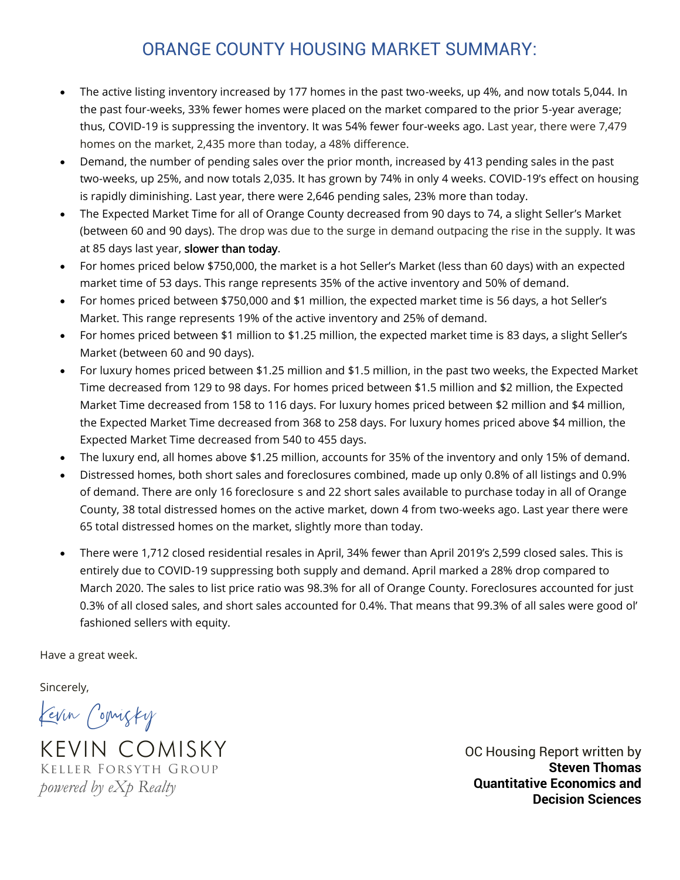### ORANGE COUNTY HOUSING MARKET SUMMARY:

- The active listing inventory increased by 177 homes in the past two-weeks, up 4%, and now totals 5,044. In the past four-weeks, 33% fewer homes were placed on the market compared to the prior 5-year average; thus, COVID-19 is suppressing the inventory. It was 54% fewer four-weeks ago. Last year, there were 7,479 homes on the market, 2,435 more than today, a 48% difference.
- Demand, the number of pending sales over the prior month, increased by 413 pending sales in the past two-weeks, up 25%, and now totals 2,035. It has grown by 74% in only 4 weeks. COVID-19's effect on housing is rapidly diminishing. Last year, there were 2,646 pending sales, 23% more than today.
- The Expected Market Time for all of Orange County decreased from 90 days to 74, a slight Seller's Market (between 60 and 90 days). The drop was due to the surge in demand outpacing the rise in the supply. It was at 85 days last year, slower than today.
- For homes priced below \$750,000, the market is a hot Seller's Market (less than 60 days) with an expected market time of 53 days. This range represents 35% of the active inventory and 50% of demand.
- For homes priced between \$750,000 and \$1 million, the expected market time is 56 days, a hot Seller's Market. This range represents 19% of the active inventory and 25% of demand.
- For homes priced between \$1 million to \$1.25 million, the expected market time is 83 days, a slight Seller's Market (between 60 and 90 days).
- For luxury homes priced between \$1.25 million and \$1.5 million, in the past two weeks, the Expected Market Time decreased from 129 to 98 days. For homes priced between \$1.5 million and \$2 million, the Expected Market Time decreased from 158 to 116 days. For luxury homes priced between \$2 million and \$4 million, the Expected Market Time decreased from 368 to 258 days. For luxury homes priced above \$4 million, the Expected Market Time decreased from 540 to 455 days.
- The luxury end, all homes above \$1.25 million, accounts for 35% of the inventory and only 15% of demand.
- Distressed homes, both short sales and foreclosures combined, made up only 0.8% of all listings and 0.9% of demand. There are only 16 foreclosure s and 22 short sales available to purchase today in all of Orange County, 38 total distressed homes on the active market, down 4 from two-weeks ago. Last year there were 65 total distressed homes on the market, slightly more than today.
- There were 1,712 closed residential resales in April, 34% fewer than April 2019's 2,599 closed sales. This is entirely due to COVID-19 suppressing both supply and demand. April marked a 28% drop compared to March 2020. The sales to list price ratio was 98.3% for all of Orange County. Foreclosures accounted for just 0.3% of all closed sales, and short sales accounted for 0.4%. That means that 99.3% of all sales were good ol' fashioned sellers with equity.

Have a great week.

Sincerely,

Kevin Comisky

KEVIN COMISKY Keller Forsyth Group *powered by eXp Realty*

OC Housing Report written by **Steven Thomas Quantitative Economics and Decision Sciences**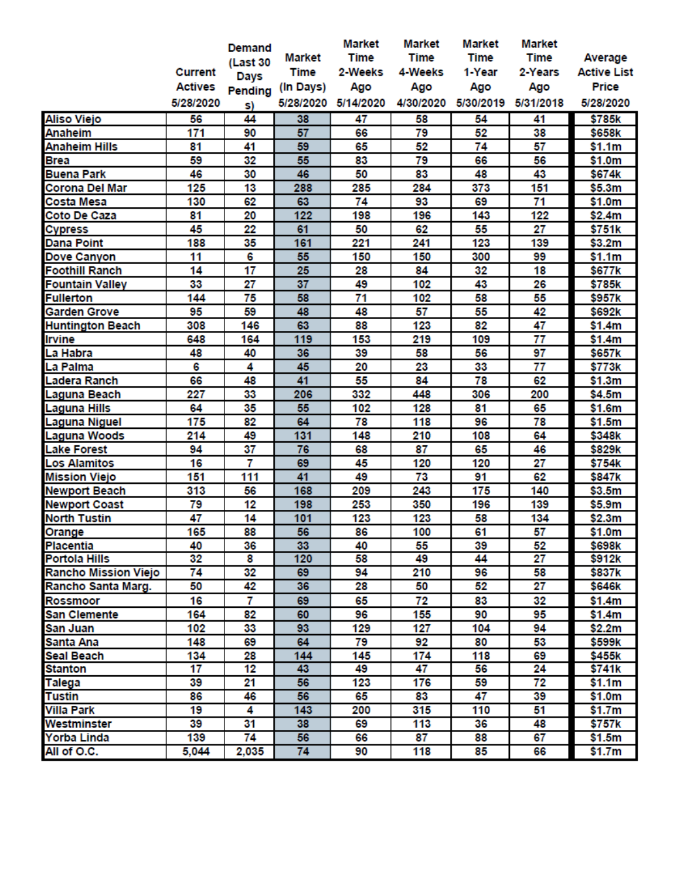|                         |                 | Demand          |               | <b>Market</b> | <b>Market</b> | <b>Market</b> | <b>Market</b> |                    |
|-------------------------|-----------------|-----------------|---------------|---------------|---------------|---------------|---------------|--------------------|
|                         |                 | (Last 30        | <b>Market</b> | <b>Time</b>   | <b>Time</b>   | <b>Time</b>   | <b>Time</b>   | Average            |
|                         | <b>Current</b>  | Days            | <b>Time</b>   | 2-Weeks       | 4-Weeks       | 1-Year        | 2-Years       | <b>Active List</b> |
|                         | <b>Actives</b>  | Pending         | (In Days)     | Ago           | Ago           | Ago           | Ago           | <b>Price</b>       |
|                         | 5/28/2020       | S)              | 5/28/2020     | 5/14/2020     | 4/30/2020     | 5/30/2019     | 5/31/2018     | 5/28/2020          |
| <b>Aliso Viejo</b>      | 56              | 44              | 38            | 47            | 58            | 54            | 41            | \$785k             |
| <b>Anaheim</b>          | 171             | 90              | 57            | 66            | 79            | 52            | 38            | \$658k             |
| <b>Anaheim Hills</b>    | 81              | 41              | 59            | 65            | 52            | 74            | 57            |                    |
| <b>Brea</b>             | 59              | 32              | 55            | 83            | 79            | 66            | 56            | \$1.1m<br>\$1.0m   |
| <b>Buena Park</b>       | 46              | 30              |               | 50            | 83            | 48            | 43            | \$674k             |
|                         |                 |                 | 46            |               |               |               |               |                    |
| <b>Corona Del Mar</b>   | 125             | 13              | 288           | 285           | 284           | 373           | 151           | \$5.3m             |
| <b>Costa Mesa</b>       | 130<br>81       | 62<br>20        | 63<br>122     | 74<br>198     | 93<br>196     | 69<br>143     | 71<br>122     | \$1.0m             |
| Coto De Caza            | 45              |                 | 61            | 50            | 62            | 55            |               | \$2.4m             |
| <b>Cypress</b>          |                 | 22              |               |               |               |               | 27            | \$751k             |
| <b>Dana Point</b>       | 188             | 35              | 161           | 221           | 241           | 123           | 139           | \$3.2m             |
| Dove Canyon             | 11              | 6               | 55            | 150           | 150           | 300           | 99            | \$1.1m             |
| <b>Foothill Ranch</b>   | 14              | $\overline{17}$ | 25            | 28            | 84            | 32            | 18            | \$677k             |
| <b>Fountain Valley</b>  | 33              | 27              | 37            | 49            | 102           | 43            | 26            | \$785k             |
| <b>Fullerton</b>        | 144             | 75              | 58            | 71            | 102           | 58            | 55            | \$957k             |
| <b>Garden Grove</b>     | 95              | 59              | 48            | 48            | 57            | 55            | 42            | \$692k             |
| <b>Huntington Beach</b> | 308             | 146             | 63            | 88            | 123           | 82            | 47            | \$1.4m             |
| <b>Irvine</b>           | 648             | 164             | 119           | 153           | 219           | 109           | 77            | \$1.4m             |
| La Habra                | 48              | 40              | 36            | 39            | 58            | 56            | 97            | \$657k             |
| La Palma                | 6               | 4               | 45            | 20            | 23            | 33            | 77            | \$773k             |
| Ladera Ranch            | 66              | 48              | 41            | 55            | 84            | 78            | 62            | \$1.3m             |
| Laguna Beach            | 227             | 33              | 206           | 332           | 448           | 306           | 200           | \$4.5m             |
| Laguna Hills            | 64              | 35              | 55            | 102           | 128           | 81            | 65            | \$1.6m             |
| Laguna Niguel           | 175             | 82              | 64            | 78            | 118           | 96            | 78            | \$1.5m             |
| Laguna Woods            | 214             | 49              | 131           | 148           | 210           | 108           | 64            | \$348k             |
| <b>Lake Forest</b>      | 94              | 37              | 76            | 68            | 87            | 65            | 46            | \$829k             |
| <b>Los Alamitos</b>     | 16              | 7               | 69            | 45            | 120           | 120           | 27            | \$754k             |
| <b>Mission Viejo</b>    | 151             | 111             | 41            | 49            | 73            | 91            | 62            | \$847k             |
| <b>Newport Beach</b>    | 313             | 56              | 168           | 209           | 243           | 175           | 140           | \$3.5m             |
| <b>Newport Coast</b>    | 79              | 12              | 198           | 253           | 350           | 196           | 139           | \$5.9m             |
| <b>North Tustin</b>     | 47              | 14              | 101           | 123           | 123           | 58            | 134           | \$2.3m             |
| Orange                  | 165             | 88              | 56            | 86            | 100           | 61            | 57            | \$1.0m             |
| <b>Placentia</b>        | 40              | 36              | 33            | 40            | 55            | 39            | 52            | \$698k             |
| <b>Portola Hills</b>    | 32              | 8               | 120           | 58            | 49            | 44            | 27            | \$912k             |
| Rancho Mission Viejo    | $\overline{74}$ | 32              | 69            | 94            | 210           | 96            | 58            | \$837k             |
| Rancho Santa Marg.      | 50              | 42              | 36            | 28            | 50            | 52            | 27            | \$646k             |
| Rossmoor                | 16              | 7               | 69            | 65            | 72            | 83            | 32            | \$1.4m             |
| <b>San Clemente</b>     | 164             | 82              | 60            | 96            | 155           | 90            | 95            | \$1.4m             |
| San Juan                | 102             | 33              | 93            | 129           | 127           | 104           | 94            | \$2.2m             |
| Santa Ana               | 148             | 69              | 64            | 79            | 92            | 80            | 53            | \$599k             |
| <b>Seal Beach</b>       | 134             | 28              | 144           | 145           | 174           | 118           | 69            | \$455k             |
| Stanton                 | 17              | 12              | 43            | 49            | 47            | 56            | 24            | \$741k             |
| Talega                  | 39              | 21              | 56            | 123           | 176           | 59            | 72            | \$1.1m             |
| <b>Tustin</b>           | 86              | 46              | 56            | 65            | 83            | 47            | 39            | \$1.0m             |
| Villa Park              | 19              | 4               | 143           | 200           | 315           | 110           | 51            | \$1.7m             |
| Westminster             | 39              | 31              | 38            | 69            | 113           | 36            | 48            | \$757k             |
| <b>Yorba Linda</b>      | 139             | 74              | 56            | 66            | 87            | 88            | 67            | \$1.5m             |
| All of O.C.             | 5,044           | 2,035           | 74            | 90            | 118           | 85            | 66            | \$1.7m             |
|                         |                 |                 |               |               |               |               |               |                    |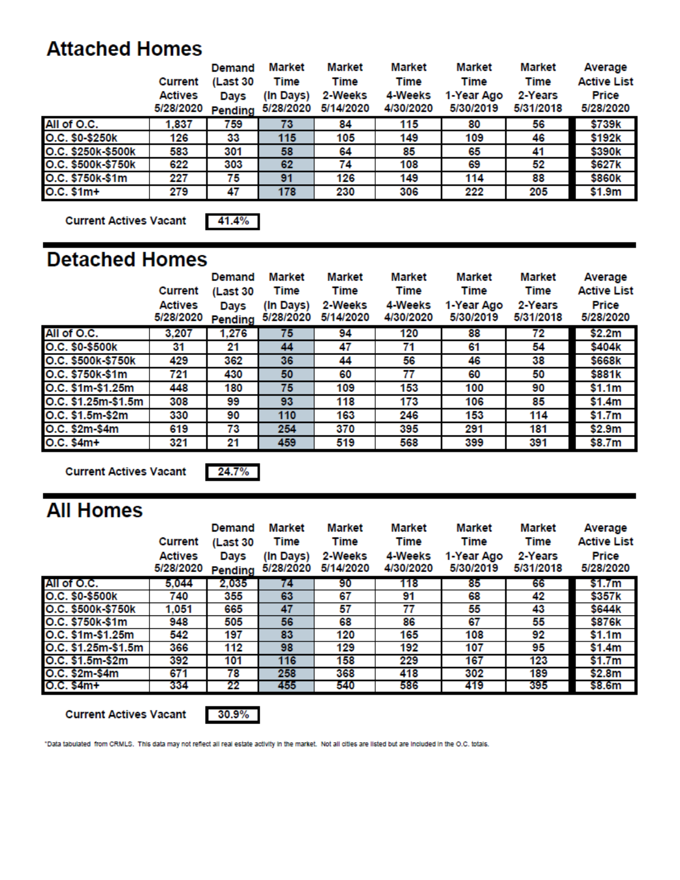### **Attached Homes**

|                    |                | Demand   | Market    | Market    | Market    | Market     | Market    | Average            |
|--------------------|----------------|----------|-----------|-----------|-----------|------------|-----------|--------------------|
|                    | <b>Current</b> | (Last 30 | Time      | Time      | Time      | Time       | Time      | <b>Active List</b> |
|                    | Actives        | Days     | (In Days) | 2-Weeks   | 4-Weeks   | 1-Year Ago | 2-Years   | Price              |
|                    | 5/28/2020      | Pending  | 5/28/2020 | 5/14/2020 | 4/30/2020 | 5/30/2019  | 5/31/2018 | 5/28/2020          |
| All of O.C.        | 1.837          | 759      | 73        | 84        | 115       | 80         | 56        | \$739k             |
| O.C. \$0-\$250k    | 126            | 33       | 115       | 105       | 149       | 109        | 46        | \$192k             |
| O.C. \$250k-\$500k | 583            | 301      | 58        | 64        | 85        | 65         | 41        | \$390k             |
| O.C. \$500k-\$750k | 622            | 303      | 62        | 74        | 108       | 69         | 52        | \$627k             |
| O.C. \$750k-\$1m   | 227            | 75       | 91        | 126       | 149       | 114        | 88        | \$860k             |
| $O.C. $1m+$        | 279            | 47       | 178       | 230       | 306       | 222        | 205       | \$1.9m             |

**Current Actives Vacant** 

41.4%

### **Detached Homes**

|                     | Current<br><b>Actives</b><br>5/28/2020 | Demand<br>(Last 30<br>Days<br>Pending | <b>Market</b><br><b>Time</b><br>(In Days)<br>5/28/2020 | Market<br>Time<br>2-Weeks<br>5/14/2020 | Market<br>Time<br>4-Weeks<br>4/30/2020 | Market<br>Time<br>1-Year Ago<br>5/30/2019 | Market<br>Time<br>2-Years<br>5/31/2018 | Average<br><b>Active List</b><br>Price<br>5/28/2020 |
|---------------------|----------------------------------------|---------------------------------------|--------------------------------------------------------|----------------------------------------|----------------------------------------|-------------------------------------------|----------------------------------------|-----------------------------------------------------|
| All of O.C.         | 3,207                                  | 1,276                                 | 75                                                     | 94                                     | 120                                    | 88                                        | 72                                     | \$2.2m                                              |
| O.C. \$0-\$500k     | 31                                     | 21                                    | 44                                                     | 47                                     | 71                                     | 61                                        | 54                                     | \$404k                                              |
| O.C. \$500k-\$750k  | 429                                    | 362                                   | 36                                                     | 44                                     | 56                                     | 46                                        | 38                                     | \$668k                                              |
| O.C. \$750k-\$1m    | 721                                    | 430                                   | 50                                                     | 60                                     | 77                                     | 60                                        | 50                                     | \$881k                                              |
| O.C. \$1m-\$1.25m   | 448                                    | 180                                   | 75                                                     | 109                                    | 153                                    | 100                                       | 90                                     | \$1.1m                                              |
| O.C. \$1.25m-\$1.5m | 308                                    | 99                                    | 93                                                     | 118                                    | 173                                    | 106                                       | 85                                     | \$1.4m                                              |
| O.C. \$1.5m-\$2m    | 330                                    | 90                                    | 110                                                    | 163                                    | 246                                    | 153                                       | 114                                    | \$1.7m                                              |
| O.C. \$2m-\$4m      | 619                                    | 73                                    | 254                                                    | 370                                    | 395                                    | 291                                       | 181                                    | \$2.9m                                              |
| $O.C. $4m+$         | 321                                    | 21                                    | 459                                                    | 519                                    | 568                                    | 399                                       | 391                                    | \$8.7m                                              |

**Current Actives Vacant** 

24.7%

# **All Homes**

|                     | <b>Current</b>              | Demand<br>(Last 30 | <b>Market</b><br>Time  | Market<br>Time       | Market<br><b>Time</b> | Market<br>Time          | Market<br><b>Time</b> | Average<br><b>Active List</b> |
|---------------------|-----------------------------|--------------------|------------------------|----------------------|-----------------------|-------------------------|-----------------------|-------------------------------|
|                     | <b>Actives</b><br>5/28/2020 | Days<br>Pending    | (In Days)<br>5/28/2020 | 2-Weeks<br>5/14/2020 | 4-Weeks<br>4/30/2020  | 1-Year Ago<br>5/30/2019 | 2-Years<br>5/31/2018  | Price<br>5/28/2020            |
| All of O.C.         | 5.044                       | 2,035              | 74                     | 90                   | 118                   | 85                      | 66                    | \$1.7m                        |
| O.C. \$0-\$500k     | 740                         | 355                | 63                     | 67                   | 91                    | 68                      | 42                    | \$357k                        |
| O.C. \$500k-\$750k  | 1.051                       | 665                | 47                     | 57                   | 77                    | 55                      | 43                    | \$644k                        |
| O.C. \$750k \$1m    | 948                         | 505                | 56                     | 68                   | 86                    | 67                      | 55                    | \$876k                        |
| O.C. \$1m-\$1.25m   | 542                         | 197                | 83                     | 120                  | 165                   | 108                     | 92                    | \$1.1m                        |
| O.C. \$1.25m-\$1.5m | 366                         | 112                | 98                     | 129                  | 192                   | 107                     | 95                    | \$1.4m                        |
| O.C. \$1.5m-\$2m    | 392                         | 101                | 116                    | 158                  | 229                   | 167                     | 123                   | \$1.7m                        |
| O.C. \$2m-\$4m      | 671                         | 78                 | 258                    | 368                  | 418                   | 302                     | 189                   | \$2.8m                        |
| O.C. \$4m+          | 334                         | 22                 | 455                    | 540                  | 586                   | 419                     | 395                   | \$8.6m                        |

**Current Actives Vacant** 

 $30.9\%$ 

"Data tabulated from CRMLS. This data may not reflect all real estate activity in the market. Not all cities are listed but are included in the O.C. totals.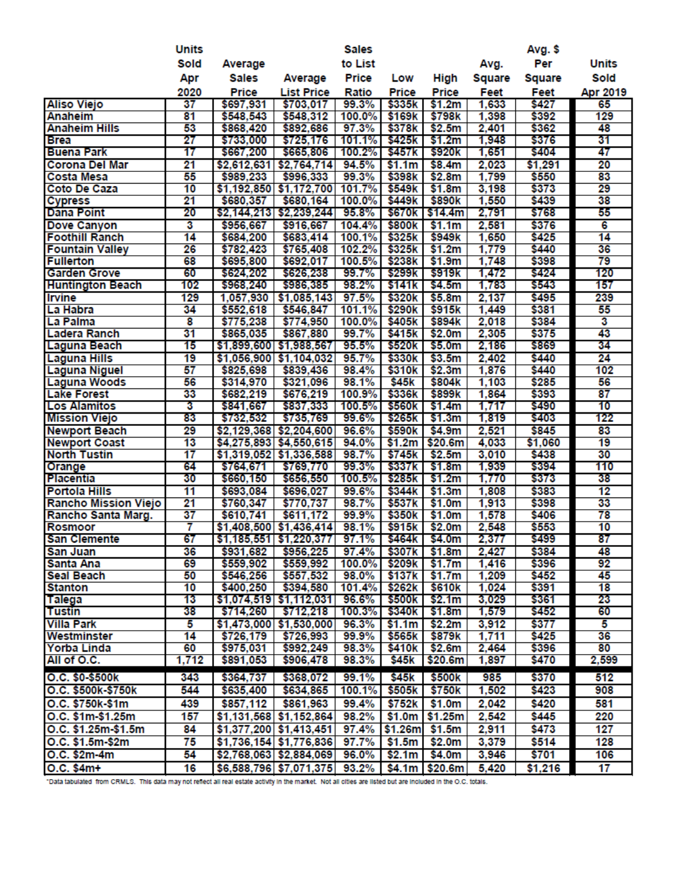|                            | <b>Units</b>    |                        |                                 | <b>Sales</b>   |                              |                   |                | Avg. \$        |                 |
|----------------------------|-----------------|------------------------|---------------------------------|----------------|------------------------------|-------------------|----------------|----------------|-----------------|
|                            | Sold            | Average                |                                 | to List        |                              |                   | Avg.           | Per            | <b>Units</b>    |
|                            | Apr             | <b>Sales</b>           | Average                         | Price          | Low                          | High              | Square         | Square         | Sold            |
|                            | 2020            | <b>Price</b>           | <b>List Price</b>               | Ratio          | Price                        | Price             | Feet           | Feet           | Apr 2019        |
| <b>Aliso Viejo</b>         | 37              | \$697,931              | \$703,017                       | 99.3%          | \$335k                       | \$1.2m            | 1,633          | \$427          | 65              |
| Anaheim                    | 81              | \$548,543              | \$548,312                       | 100.0%         | \$169k                       | \$798k            | 1,398          | \$392          | 129             |
| <b>Anaheim Hills</b>       | 53              | \$868,420              | \$892,686                       | 97.3%          | \$378k                       | \$2.5m            | 2,401          | \$362          | 48              |
| <b>Brea</b>                | 27              | \$733,000              | \$725,176                       | 101.1%         | \$425k                       | \$1.2m            | 1,948          | \$376          | 31              |
| <b>Buena Park</b>          | 17              | \$667,200              | \$665,806                       | 100.2%         | \$457k                       | \$920k            | 1,651          | \$404          | 47              |
| <b>Corona Del Mar</b>      | 21              | \$2,612,631            | \$2,764,714                     | 94.5%          | \$1.1m                       | \$8.4m            | 2.023          | \$1,291        | 20              |
| <b>Costa Mesa</b>          | 55              | \$989,233              | \$996,333                       | 99.3%          | \$398k                       | \$2.8m            | 1,799          | \$550          | 83              |
| <b>Coto De Caza</b>        | 10              | \$1,192,850            | \$1,172,700                     | 101.7%         | \$549k                       | \$1.8m            | 3,198          | \$373          | 29              |
| <b>Cypress</b>             | 21              | \$680,357              | \$680,164                       | 100.0%         | \$449k                       | \$890k            | 1,550          | \$439          | 38              |
| <b>Dana Point</b>          | 20              |                        | \$2,144,213 \$2,239,244         | 95.8%          | \$670k                       | \$14.4m           | 2,791          | \$768          | 55              |
| Dove Canyon                | 3               | \$956,667              | \$916,667                       | 104.4%         | \$800k                       | \$1.1m            | 2,581          | \$376          | 6               |
| <b>Foothill Ranch</b>      | 14              | \$684,200              | \$683,414                       | 100.1%         | \$325k                       | \$949k            | 1,650          | \$425          | 14              |
| <b>Fountain Valley</b>     | 26              | \$782,423              | \$765,408                       | 102.2%         | \$325k                       | \$1.2m            | 1,779          | \$440          | 36              |
| <b>Fullerton</b>           | 68              | \$695,800              | \$692,017                       | 100.5%         | \$238k                       | \$1.9m            | 1,748          | \$398          | 79              |
| <b>Garden Grove</b>        | 60              | \$624,202              | \$626,238                       | 99.7%          | \$299k                       | \$919k            | 1,472          | \$424          | 120             |
| <b>Huntington Beach</b>    | 102             | \$968,240              | \$986,385                       | 98.2%          | \$141k                       | \$4.5m            | 1,783          | \$543          | 157             |
| <b>Irvine</b>              | 129             | 1,057,930              | \$1,085,143                     | 97.5%          | \$320k                       | \$5.8m            | 2,137          | \$495          | 239             |
| La Habra                   | 34              | \$552,618              | \$546,847                       | 101.1%         | \$290 <sub>k</sub>           | \$915k            | 1,449          | \$381          | 55              |
| La Palma                   | 8               | \$775,238              | \$774,950                       | 100.0%         | \$405k                       | \$894k            | 2,018          | \$384          | 3               |
| <b>Ladera Ranch</b>        | 31              | \$865,035              | \$867,880                       | 99.7%          | \$415k                       | \$2.0m            | 2,305          | \$375          | 43              |
| Laguna Beach               | 15              |                        | \$1,899,600 \$1,988,567         | 95.5%          | \$520k                       | \$5.0m            | 2,186          | \$869          | 34              |
| <b>Laguna Hills</b>        | 19              |                        | \$1,056,900 \$1,104,032         | 95.7%          | \$330k                       | \$3.5m            | 2,402          | \$440          | 24              |
| <b>Laguna Niguel</b>       | 57              | \$825,698              | \$839,436                       | 98.4%          | \$310k                       | \$2.3m            | 1,876          | \$440          | 102             |
| <b>Laguna Woods</b>        | 56              | \$314,970              | \$321,096                       | 98.1%          | \$45k                        | \$804k            | 1,103          | \$285          | 56              |
| <b>Lake Forest</b>         | 33              | \$682,219              | \$676,219                       | 100.9%         | \$336k                       | \$899k            | 1,864          | \$393          | 87              |
| <b>Los Alamitos</b>        | 3               | \$841,667              | \$837,333                       | 100.5%         | \$560k                       | \$1.4m            | 1,717          | \$490          | 10              |
| <b>Mission Viejo</b>       | 83              | \$732,532              | \$735,769                       | 99.6%          | \$265k                       | \$1.3m            | 1,819          | \$403          | 122             |
| <b>Newport Beach</b>       | 29              |                        | \$2,129,368 \$2,204,600         | 96.6%          | \$590k                       | \$4.9m            | 2,521          | \$845          | 83              |
| <b>Newport Coast</b>       | $\overline{13}$ |                        | \$4,275,893 \$4,550,615         | 94.0%          | \$1.2m                       | \$20.6m           | 4,033          | \$1,060        | 19              |
| <b>North Tustin</b>        | 17              |                        | $$1,319,052$ $$1,336,588$       | 98.7%          | \$745k                       | \$2.5m            | 3,010          | \$438          | 30              |
| Orange                     | 64              | \$764,671              | \$769,770                       | 99.3%          | \$337k                       | \$1.8m            | 1,939          | \$394          | 110             |
| Placentia                  | 30              | \$660,150              | \$656,550                       | 100.5%         | \$285k                       | \$1.2m            | 1,770          | \$373          | 38              |
| <b>Portola Hills</b>       | 11              | \$693,084              | \$696,027                       | 99.6%          | \$344k                       | \$1.3m            | 1,808          | \$383          | 12              |
| Rancho Mission Viejo       | 21              | \$760,347              | \$770,737                       | 98.7%          | \$537k                       | \$1.0m            | 1,913          | \$398          | 33              |
| Rancho Santa Marg.         | $\overline{37}$ | \$610,741              | \$611,172                       | 99.9%          | \$350 <sub>k</sub>           | \$1.0m            | 1,578          | \$406          | 78              |
| <b>Rosmoor</b>             | 7               |                        | \$1,408,500 \$1,436,414         | 98.1%          | \$915k                       | \$2.0m            | 2,548          | \$553          | $\overline{10}$ |
| <b>San Clemente</b>        | 67              |                        | $$1,185,551$ $$1,220,377$ 97.1% |                |                              | \$464k \$4.0m     | 2,377          | \$499          | 87              |
| <b>San Juan</b>            | 36              | \$931,682              | \$956,225                       | 97.4%          | \$307k                       | \$1.8m            | 2,427          | \$384          | 48              |
| Santa Ana                  | 69              | \$559,902              | \$559,992                       | 100.0%         | \$209k                       | \$1.7m            | 1,416          | \$396          | 92              |
| <b>Seal Beach</b>          | 50              | \$546,256              | \$557,532                       | 98.0%          | \$137k                       | \$1.7m            | 1,209          | \$452          | 45              |
| <b>Stanton</b>             | 10              | \$400,250              | \$394,580                       | 101.4%         | \$262k                       | \$610k            | 1,024          | \$391          | 18              |
| Talega                     | 13              |                        | $$1,074,519$ $$1,112,031$       | 96.6%          | \$340k                       | \$500k   \$2.1m   | 3,029          | \$361          | 23<br>60        |
| <b>Tustin</b>              | 38              | \$714,260              | \$712,218                       | 100.3%         |                              | \$1.8m            | 1,579          | \$452          |                 |
| <b>Villa Park</b>          | 5               |                        | \$1,473,000 \$1,530,000         | 96.3%          | \$1.1m                       | \$2.2m            | 3,912          | \$377          | 5               |
| Westminster                | 14              | \$726,179              | \$726,993                       | 99.9%          | \$565k<br>\$410 <sub>k</sub> | \$879k            | 1,711          | \$425          | 36              |
| Yorba Linda<br>All of O.C. | 60<br>1,712     | \$975,031<br>\$891,053 | \$992,249<br>\$906,478          | 98.3%<br>98.3% | \$45k                        | \$2.6m<br>\$20.6m | 2,464<br>1,897 | \$396<br>\$470 | 80<br>2,599     |
|                            |                 |                        |                                 |                |                              |                   |                |                |                 |
| O.C. \$0-\$500k            | 343             | \$364,737              | \$368,072                       | 99.1%          | \$45 <sub>k</sub>            | \$500k            | 985            | \$370          | 512             |
| O.C. \$500k-\$750k         | 544             | \$635,400              | \$634,865                       | 100.1%         | \$505k                       | \$750k            | 1,502          | \$423          | 908             |
| O.C. \$750k-\$1m           | 439             | \$857,112              | \$861,963                       | 99.4%          | \$752k                       | \$1.0m            | 2,042          | \$420          | 581             |
| O.C. \$1m-\$1.25m          | 157             |                        | \$1,131,568 \$1,152,864         | 98.2%          | \$1.0m                       | \$1.25m           | 2,542          | \$445          | 220             |
| O.C. \$1.25m-\$1.5m        | 84              |                        | $$1,377,200$ $$1,413,451$       | 97.4%          | \$1.26ml                     | \$1.5m            | 2,911          | \$473          | 127             |
| O.C. \$1.5m-\$2m           | 75              |                        | \$1,736,154 \$1,776,836         | 97.7%          | \$1.5m                       | \$2.0m            | 3,379          | \$514          | 128             |
| O.C. \$2m-4m               | 54              |                        | $$2,768,063$ $$2,884,069$       | 96.0%          | \$2.1m                       | \$4.0m            | 3,946          | \$701          | 106             |
| $O.C. $4m+$                | 16              |                        | \$6,588,796 \$7,071,375 93.2%   |                |                              | $$4.1m$ $$20.6m$  | 5,420          | \$1,216        | 17              |

"Data tabulated from CRMLS. This data may not renect all real estate activity in the market. Not all cities are listed but are included in the O.C. totals.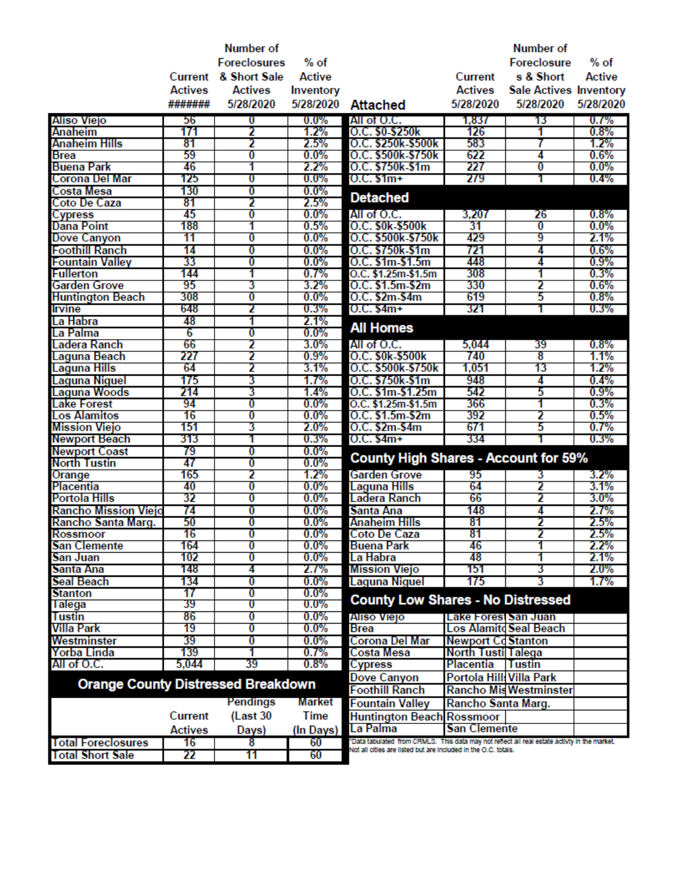|                                           |                | <b>Number of</b>    |                    |                                                                                                                                                                |                           | Number of                     |               |
|-------------------------------------------|----------------|---------------------|--------------------|----------------------------------------------------------------------------------------------------------------------------------------------------------------|---------------------------|-------------------------------|---------------|
|                                           |                | <b>Foreclosures</b> | $%$ of             |                                                                                                                                                                |                           | <b>Foreclosure</b>            | $%$ of        |
|                                           | Current        | & Short Sale        | <b>Active</b>      |                                                                                                                                                                | <b>Current</b>            | s & Short                     | <b>Active</b> |
|                                           | <b>Actives</b> | <b>Actives</b>      | Inventory          |                                                                                                                                                                | <b>Actives</b>            | <b>Sale Actives Inventory</b> |               |
|                                           | #######        | 5/28/2020           | 5/28/2020          | <b>Attached</b>                                                                                                                                                | 5/28/2020                 | 5/28/2020                     | 5/28/2020     |
| Aliso Viejo                               | 56             | $\bf{0}$            | $0.0\%$            | All of O.C.                                                                                                                                                    | 1,837                     | 13                            | 0.7%          |
| Anaheim                                   | 171            | 2                   | 1.2%               | O.C. \$0-\$250k                                                                                                                                                | 126                       | 1                             | 0.8%          |
| Anaheim Hills                             | 81             | 2                   | 2.5%               | O.C. \$250k-\$500k                                                                                                                                             | 583                       |                               | 1.2%          |
| Brea                                      | 59             | 0                   | $0.0\%$            | O.C. \$500k-\$750k                                                                                                                                             | 622                       | 4                             | 0.6%          |
| <b>Buena Park</b>                         | 46             | 1                   | 2.2%               | O.C. \$750k-\$1m                                                                                                                                               | 227                       | 0                             | $0.0\%$       |
| Corona Del Mar                            | 125            | o                   | $0.0\%$            | $0.C. $1m+$                                                                                                                                                    | 279                       | 1                             | 0.4%          |
| Costa Mesa                                | 130            | 0                   | $0.0\%$            | <b>Detached</b>                                                                                                                                                |                           |                               |               |
| Coto De Caza                              | 81             | 2                   | 2.5%               |                                                                                                                                                                |                           |                               |               |
| <b>Cypress</b>                            | 45             | 0                   | $0.0\%$            | All of O.C.                                                                                                                                                    | 3,207                     | 26                            | $0.8\%$       |
| <b>Dana Point</b>                         | 188            | 1                   | 0.5%               | O.C. \$0k-\$500k                                                                                                                                               | 31                        | $\bf{0}$                      | $0.0\%$       |
| <b>Dove Canyon</b>                        | 11             | 0                   | $0.0\%$            | O.C. \$500k-\$750k                                                                                                                                             | 429                       | 9                             | 2.1%          |
| <b>Foothill Ranch</b>                     | 14             | 0                   | $0.0\%$            | O.C. \$750k-\$1m                                                                                                                                               | 721                       | 4                             | 0.6%          |
| <b>Fountain Valley</b>                    | 33             | 0                   | $0.0\%$            | O.C. \$1m \$1.5m                                                                                                                                               | 448                       | 4                             | 0.9%          |
| <b>Fullerton</b>                          | 144            | 1                   | 0.7%               | O.C. \$1.25m-\$1.5m                                                                                                                                            | 308                       | 1                             | 0.3%          |
| Garden Grove                              | 95             | 3                   | $3.2\%$            | O.C. \$1.5m-\$2m                                                                                                                                               | 330                       | 2                             | 0.6%          |
| <b>Huntington Beach</b>                   | 308<br>648     | 0<br>2              | $0.0\%$            | O.C. \$2m-\$4m                                                                                                                                                 | 619<br>321                | 5<br>1                        | 0.8%          |
| <b>Irvine</b>                             | 48             |                     | 0.3%               | $0.C. $4m+$                                                                                                                                                    |                           |                               | 0.3%          |
| La Habra                                  | 6              | 1<br>0              | 2.1%<br>$0.0\%$    | <b>All Homes</b>                                                                                                                                               |                           |                               |               |
| La Palma<br>Ladera Ranch                  | 66             | 2                   | $3.0\%$            | All of O.C.                                                                                                                                                    | 5,044                     | 39                            | 0.8%          |
| Laguna Beach                              | 227            | 2                   | 0.9%               | O.C. \$0k-\$500k                                                                                                                                               | 740                       | 8                             | 1.1%          |
| Laguna Hills                              | 64             | 2                   | 3.1%               | O.C. \$500k-\$750k                                                                                                                                             | 1,051                     | 13                            | 1.2%          |
| Laguna Niguel                             | 175            | 3                   | 1.7%               | O.C. \$750k-\$1m                                                                                                                                               | 948                       | 4                             | 0.4%          |
| Laguna Woods                              | 214            | 3                   | 1.4%               | O.C. \$1m \$1.25m                                                                                                                                              | 542                       | 5                             | 0.9%          |
| <b>Lake Forest</b>                        | 94             | 0                   | $0.0\%$            | O.C. \$1.25m \$1.5m                                                                                                                                            | 366                       | 1                             | 0.3%          |
| <b>Los Alamitos</b>                       | 16             | 0                   | $0.0\%$            | O.C. \$1.5m-\$2m                                                                                                                                               | 392                       | 2                             | 0.5%          |
| <b>Mission Viejo</b>                      | 151            | 3                   | $2.0\%$            | O.C. \$2m-\$4m                                                                                                                                                 | 671                       | 5                             | 0.7%          |
| <b>Newport Beach</b>                      | 313            | 1                   | 0.3%               | $0.C. $4m+$                                                                                                                                                    | 334                       |                               | 0.3%          |
| <b>Newport Coast</b>                      | 79             | 0                   | $0.0\%$            |                                                                                                                                                                |                           |                               |               |
| <b>North Tustin</b>                       | 47             | 0                   | $0.0\%$            | <b>County High Shares - Account for 59%</b>                                                                                                                    |                           |                               |               |
| Orange                                    | 165            | 2                   | 1.2%               | Garden Grove                                                                                                                                                   | 95                        | 3                             | $3.2\%$       |
| Placentia                                 | 40             | 0                   | $0.0\%$            | Laguna Hills                                                                                                                                                   | 64                        | 2                             | 3.1%          |
| <b>Portola Hills</b>                      | 32             | 0                   | $0.0\%$            | Ladera Ranch                                                                                                                                                   | 66                        | 2                             | $3.0\%$       |
| <b>Rancho Mission Viejo</b>               | 74             | 0                   | $0.0\%$            | Santa Ana                                                                                                                                                      | 148                       | 4                             | 2.7%          |
| Rancho Santa Marg.                        | 50             | 0                   | $0.0\%$            | Anaheim Hills                                                                                                                                                  | 81                        | 2                             | 2.5%          |
| Rossmoor                                  | 16             | 0                   | $0.0\%$            | Coto De Caza                                                                                                                                                   | 81                        | 2                             | 2.5%          |
| San Clemente                              | 164            | 0                   | $0.0\%$            | Buena Park                                                                                                                                                     | 46                        | 1                             | 2.2%          |
| San Juan                                  | 102            | 0                   | $0.0\%$            | La Habra                                                                                                                                                       | 48                        |                               | 2.1%          |
| Santa Ana                                 | 148            | 4                   | 2.1%               | <b>Mission Viejo</b>                                                                                                                                           | 151                       | 3                             | $2.0\%$       |
| Seal Beach                                | 134<br>17      | 0                   | $0.0\%$            | Laguna Niguel                                                                                                                                                  | 175                       | 3                             | 1.7%          |
| <b>Stanton</b><br><b>Talega</b>           | 39             | 0<br>U              | $0.0\%$<br>$0.0\%$ | <b>County Low Shares - No Distressed</b>                                                                                                                       |                           |                               |               |
| Tustin                                    | 86             | 0                   | $0.0\%$            | Aliso Viejo                                                                                                                                                    | Lake Forest San Juan      |                               |               |
| Villa Park                                | 19             | 0                   | $0.0\%$            | <b>Brea</b>                                                                                                                                                    |                           | <b>Los Alamitd Seal Beach</b> |               |
| Westminster                               | 39             | 0                   | $0.0\%$            | Corona Del Mar                                                                                                                                                 | <b>Newport Cd Stanton</b> |                               |               |
| Yorba Linda                               | 139            | 1                   | 0.7%               | Costa Mesa                                                                                                                                                     | North Tusti Talega        |                               |               |
| All of O.C.                               | 5,044          | 39                  | $0.8\%$            | Cypress                                                                                                                                                        | Placentia                 | Tustin                        |               |
|                                           |                |                     |                    | Dove Canyon                                                                                                                                                    | Portola Hill: Villa Park  |                               |               |
| <b>Orange County Distressed Breakdown</b> |                |                     |                    | <b>Foothill Ranch</b>                                                                                                                                          |                           | <b>Rancho Mis Westminster</b> |               |
|                                           |                | Pendings            | Market             | <b>Fountain Valley</b>                                                                                                                                         | Rancho Santa Marg.        |                               |               |
|                                           | <b>Current</b> | (Last 30            | Time               |                                                                                                                                                                |                           |                               |               |
|                                           |                |                     |                    | <b>Huntington Beach Rossmoor</b>                                                                                                                               |                           |                               |               |
|                                           | <b>Actives</b> | Days)               | (In Days)          | La Palma                                                                                                                                                       | <b>San Clemente</b>       |                               |               |
| <b>Total Foreclosures</b>                 | 16             | 8                   | 60                 | "Data tabulated from CRMLS. This data may not reflect all real estate activty in the market.<br>Not all offies are listed but are included in the O.C. totals. |                           |                               |               |
| <b>Total Short Sale</b>                   | 22             | 11                  | 60                 |                                                                                                                                                                |                           |                               |               |